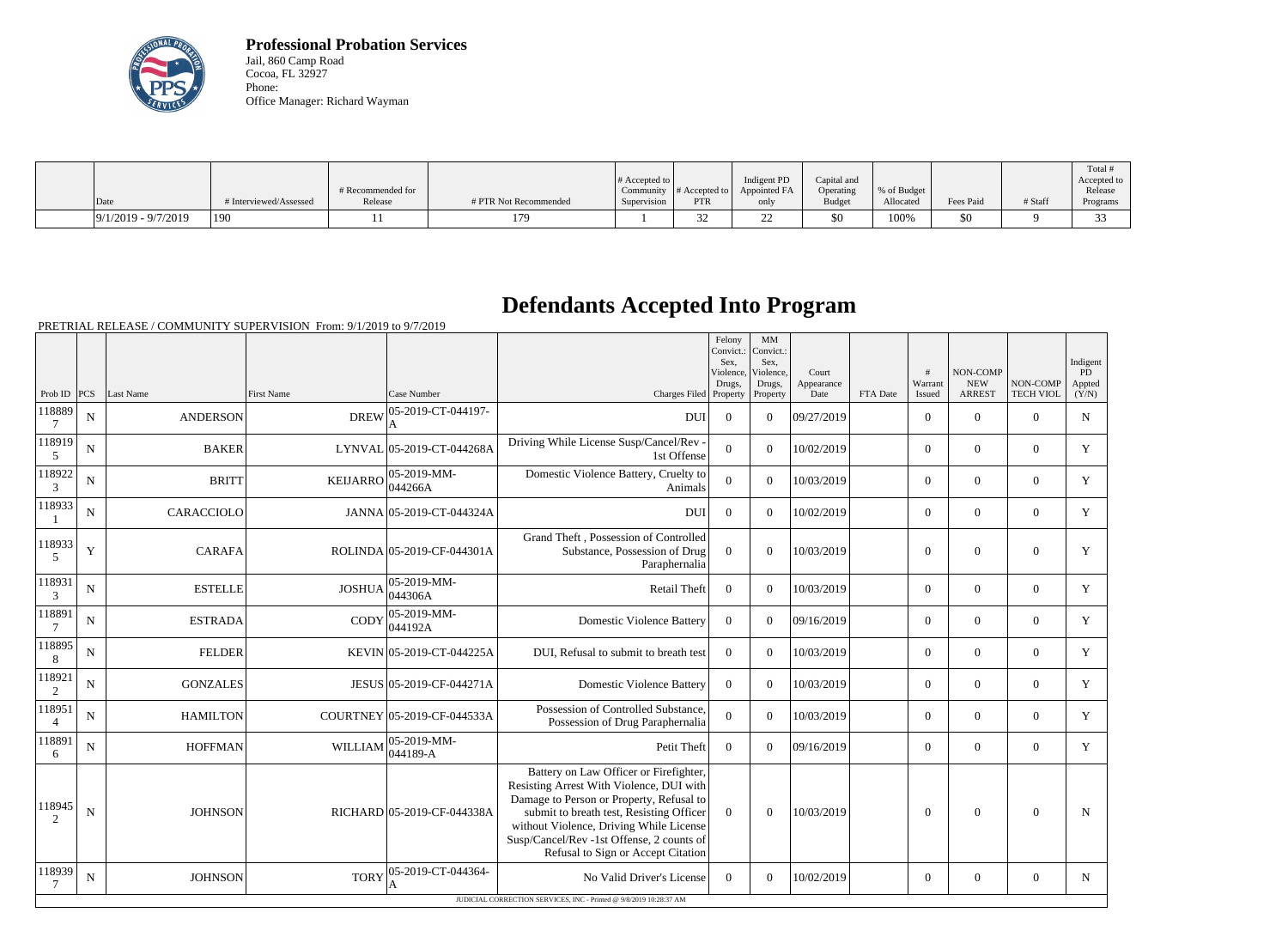

**Professional Probation Services** Jail, 860 Camp Road Cocoa, FL 32927 Phone: Office Manager: Richard Wayman

|                       |                        |                   |                       |                  |               |              |               |              |           |         | Total #     |
|-----------------------|------------------------|-------------------|-----------------------|------------------|---------------|--------------|---------------|--------------|-----------|---------|-------------|
|                       |                        |                   |                       | $\#$ Accepted to |               | Indigent PD  | Capital and   |              |           |         | Accepted to |
|                       |                        | # Recommended for |                       | Community        | # Accepted to | Appointed FA | Operating     | \% of Budget |           |         | Release     |
| $\vert$ Date          | # Interviewed/Assessed | Release           | # PTR Not Recommended | Supervision      | PTR           | only         | <b>Budget</b> | Allocated    | Fees Paid | # Staff | Programs    |
| $9/1/2019 - 9/7/2019$ | 190                    |                   |                       |                  |               |              | \$0           | 100%         | 50        |         | $\sim$      |

## **Defendants Accepted Into Program**

PRETRIAL RELEASE / COMMUNITY SUPERVISION From: 9/1/2019 to 9/7/2019

|                          |             |                 |                   |                             |                                                                                                                                                                                                                                                                                                          | Felony<br>Convict.:<br>Sex.<br>Violence,<br>Drugs, | MM<br>Convict.:<br>Sex,<br>Violence,<br>Drugs, | Court<br>Appearance |          | #<br>Warrant   | NON-COMP<br><b>NEW</b> | NON-COMP         | Indigent<br>PD<br>Appted |
|--------------------------|-------------|-----------------|-------------------|-----------------------------|----------------------------------------------------------------------------------------------------------------------------------------------------------------------------------------------------------------------------------------------------------------------------------------------------------|----------------------------------------------------|------------------------------------------------|---------------------|----------|----------------|------------------------|------------------|--------------------------|
| Prob ID $ PCS $          |             | Last Name       | <b>First Name</b> | Case Number                 | Charges Filed Property                                                                                                                                                                                                                                                                                   |                                                    | Property                                       | Date                | FTA Date | Issued         | <b>ARREST</b>          | <b>TECH VIOL</b> | (Y/N)                    |
| 118889<br>7              | $\mathbf N$ | <b>ANDERSON</b> | <b>DREW</b>       | 05-2019-CT-044197-          | <b>DUI</b>                                                                                                                                                                                                                                                                                               | $\Omega$                                           | $\theta$                                       | 09/27/2019          |          | $\Omega$       | $\Omega$               | $\Omega$         | $\mathbf N$              |
| 118919<br>$\mathfrak{S}$ | $\mathbf N$ | <b>BAKER</b>    |                   | LYNVAL 05-2019-CT-044268A   | Driving While License Susp/Cancel/Rev -<br>1st Offense                                                                                                                                                                                                                                                   | $\overline{0}$                                     | $\theta$                                       | 10/02/2019          |          | $\overline{0}$ | $\mathbf{0}$           | $\mathbf{0}$     | Y                        |
| 118922<br>$\mathfrak{Z}$ | $\mathbf N$ | <b>BRITT</b>    | <b>KEIJARRO</b>   | 05-2019-MM-<br>044266A      | Domestic Violence Battery, Cruelty to<br>Animals                                                                                                                                                                                                                                                         | $\overline{0}$                                     | $\theta$                                       | 10/03/2019          |          | $\Omega$       | $\Omega$               | $\Omega$         | Y                        |
| 118933                   | $\mathbf N$ | CARACCIOLO      |                   | JANNA 05-2019-CT-044324A    | <b>DUI</b>                                                                                                                                                                                                                                                                                               | $\overline{0}$                                     | $\Omega$                                       | 10/02/2019          |          | $\Omega$       | $\mathbf{0}$           | $\overline{0}$   | Y                        |
| 118933<br>5              | Y           | <b>CARAFA</b>   |                   | ROLINDA 05-2019-CF-044301A  | Grand Theft, Possession of Controlled<br>Substance, Possession of Drug<br>Paraphernalia                                                                                                                                                                                                                  | $\theta$                                           | $\theta$                                       | 10/03/2019          |          | $\theta$       | $\Omega$               | $\overline{0}$   | Y                        |
| 118931<br>3              | $\mathbf N$ | <b>ESTELLE</b>  | <b>JOSHUA</b>     | 05-2019-MM-<br>044306A      | Retail Theft                                                                                                                                                                                                                                                                                             | $\Omega$                                           | $\overline{0}$                                 | 10/03/2019          |          | $\overline{0}$ | $\mathbf{0}$           | $\overline{0}$   | Y                        |
| 118891<br>$\overline{7}$ | $\mathbf N$ | <b>ESTRADA</b>  | CODY              | 05-2019-MM-<br>044192A      | <b>Domestic Violence Battery</b>                                                                                                                                                                                                                                                                         | $\Omega$                                           | $\Omega$                                       | 09/16/2019          |          | $\Omega$       | $\mathbf{0}$           | $\overline{0}$   | Y                        |
| 118895<br>8              | $\mathbf N$ | <b>FELDER</b>   |                   | KEVIN 05-2019-CT-044225A    | DUI, Refusal to submit to breath test                                                                                                                                                                                                                                                                    | $\Omega$                                           | $\Omega$                                       | 10/03/2019          |          | $\Omega$       | $\Omega$               | $\overline{0}$   | Y                        |
| 118921<br>$\overline{2}$ | ${\bf N}$   | <b>GONZALES</b> |                   | JESUS 05-2019-CF-044271A    | <b>Domestic Violence Battery</b>                                                                                                                                                                                                                                                                         | $\overline{0}$                                     | $\Omega$                                       | 10/03/2019          |          | $\overline{0}$ | $\mathbf{0}$           | $\overline{0}$   | Y                        |
| 118951<br>$\overline{4}$ | N           | <b>HAMILTON</b> |                   | COURTNEY 05-2019-CF-044533A | Possession of Controlled Substance,<br>Possession of Drug Paraphernalia                                                                                                                                                                                                                                  | $\Omega$                                           | $\theta$                                       | 10/03/2019          |          | $\overline{0}$ | $\Omega$               | $\overline{0}$   | Y                        |
| 118891<br>6              | N           | <b>HOFFMAN</b>  | <b>WILLIAM</b>    | 05-2019-MM-<br>044189-A     | Petit Theft                                                                                                                                                                                                                                                                                              | $\theta$                                           | $\Omega$                                       | 09/16/2019          |          | $\Omega$       | $\Omega$               | $\Omega$         | Y                        |
| 118945<br>2              | ${\bf N}$   | <b>JOHNSON</b>  |                   | RICHARD 05-2019-CF-044338A  | Battery on Law Officer or Firefighter,<br>Resisting Arrest With Violence, DUI with<br>Damage to Person or Property, Refusal to<br>submit to breath test, Resisting Officer<br>without Violence, Driving While License<br>Susp/Cancel/Rev -1st Offense, 2 counts of<br>Refusal to Sign or Accept Citation | $\theta$                                           | $\overline{0}$                                 | 10/03/2019          |          | $\overline{0}$ | $\mathbf{0}$           | $\overline{0}$   | N                        |
| 118939<br>7              | N           | <b>JOHNSON</b>  | <b>TORY</b>       | 05-2019-CT-044364-<br>А     | No Valid Driver's License<br>JUDICIAL CORRECTION SERVICES, INC - Printed @ 9/8/2019 10:28:37 AM                                                                                                                                                                                                          | $\theta$                                           | $\overline{0}$                                 | 10/02/2019          |          | $\overline{0}$ | $\mathbf{0}$           | $\overline{0}$   | $\mathbf N$              |